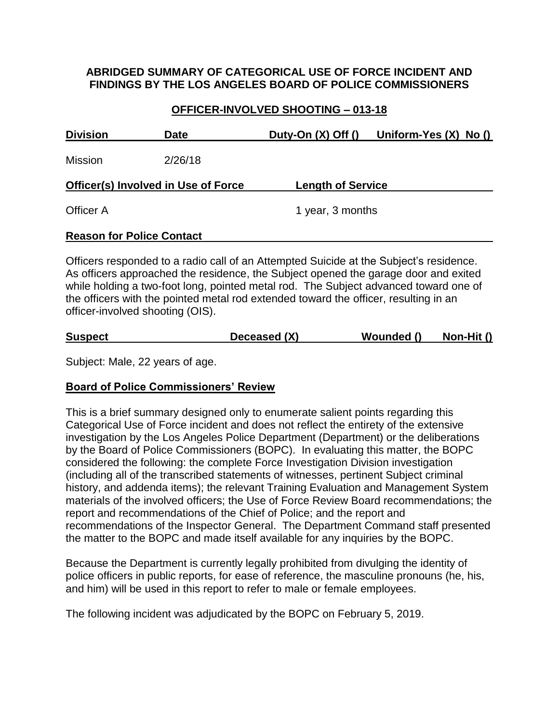### **ABRIDGED SUMMARY OF CATEGORICAL USE OF FORCE INCIDENT AND FINDINGS BY THE LOS ANGELES BOARD OF POLICE COMMISSIONERS**

### **OFFICER-INVOLVED SHOOTING – 013-18**

| <b>Date</b>                                | Duty-On $(X)$ Off $()$           | Uniform-Yes $(X)$ No $()$ |  |
|--------------------------------------------|----------------------------------|---------------------------|--|
| 2/26/18                                    |                                  |                           |  |
| <b>Officer(s) Involved in Use of Force</b> |                                  |                           |  |
|                                            |                                  | 1 year, 3 months          |  |
|                                            |                                  |                           |  |
|                                            | <b>Reason for Police Contact</b> | <b>Length of Service</b>  |  |

Officers responded to a radio call of an Attempted Suicide at the Subject's residence. As officers approached the residence, the Subject opened the garage door and exited while holding a two-foot long, pointed metal rod. The Subject advanced toward one of the officers with the pointed metal rod extended toward the officer, resulting in an officer-involved shooting (OIS).

| <b>Suspect</b> | Deceased (X) | Wounded () | Non-Hit () |
|----------------|--------------|------------|------------|
|                |              |            |            |

Subject: Male, 22 years of age.

#### **Board of Police Commissioners' Review**

This is a brief summary designed only to enumerate salient points regarding this Categorical Use of Force incident and does not reflect the entirety of the extensive investigation by the Los Angeles Police Department (Department) or the deliberations by the Board of Police Commissioners (BOPC). In evaluating this matter, the BOPC considered the following: the complete Force Investigation Division investigation (including all of the transcribed statements of witnesses, pertinent Subject criminal history, and addenda items); the relevant Training Evaluation and Management System materials of the involved officers; the Use of Force Review Board recommendations; the report and recommendations of the Chief of Police; and the report and recommendations of the Inspector General. The Department Command staff presented the matter to the BOPC and made itself available for any inquiries by the BOPC.

Because the Department is currently legally prohibited from divulging the identity of police officers in public reports, for ease of reference, the masculine pronouns (he, his, and him) will be used in this report to refer to male or female employees.

The following incident was adjudicated by the BOPC on February 5, 2019.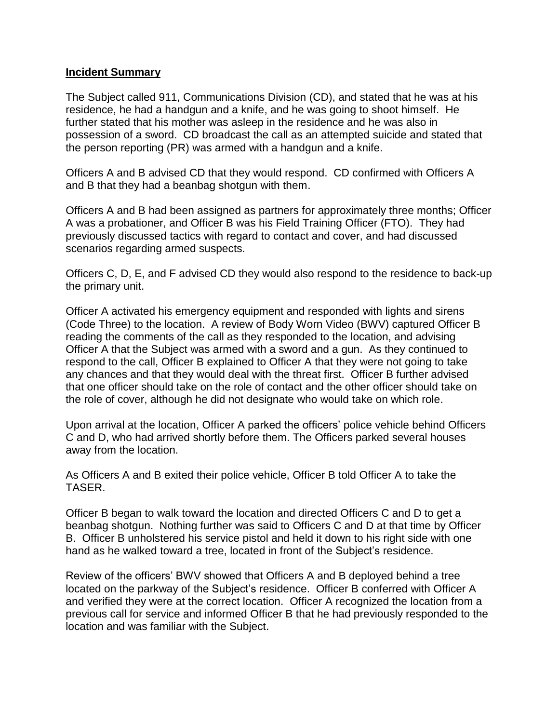#### **Incident Summary**

The Subject called 911, Communications Division (CD), and stated that he was at his residence, he had a handgun and a knife, and he was going to shoot himself. He further stated that his mother was asleep in the residence and he was also in possession of a sword. CD broadcast the call as an attempted suicide and stated that the person reporting (PR) was armed with a handgun and a knife.

Officers A and B advised CD that they would respond. CD confirmed with Officers A and B that they had a beanbag shotgun with them.

Officers A and B had been assigned as partners for approximately three months; Officer A was a probationer, and Officer B was his Field Training Officer (FTO). They had previously discussed tactics with regard to contact and cover, and had discussed scenarios regarding armed suspects.

Officers C, D, E, and F advised CD they would also respond to the residence to back-up the primary unit.

Officer A activated his emergency equipment and responded with lights and sirens (Code Three) to the location. A review of Body Worn Video (BWV) captured Officer B reading the comments of the call as they responded to the location, and advising Officer A that the Subject was armed with a sword and a gun. As they continued to respond to the call, Officer B explained to Officer A that they were not going to take any chances and that they would deal with the threat first. Officer B further advised that one officer should take on the role of contact and the other officer should take on the role of cover, although he did not designate who would take on which role.

Upon arrival at the location, Officer A parked the officers' police vehicle behind Officers C and D, who had arrived shortly before them. The Officers parked several houses away from the location.

As Officers A and B exited their police vehicle, Officer B told Officer A to take the TASER.

Officer B began to walk toward the location and directed Officers C and D to get a beanbag shotgun. Nothing further was said to Officers C and D at that time by Officer B. Officer B unholstered his service pistol and held it down to his right side with one hand as he walked toward a tree, located in front of the Subject's residence.

Review of the officers' BWV showed that Officers A and B deployed behind a tree located on the parkway of the Subject's residence. Officer B conferred with Officer A and verified they were at the correct location. Officer A recognized the location from a previous call for service and informed Officer B that he had previously responded to the location and was familiar with the Subject.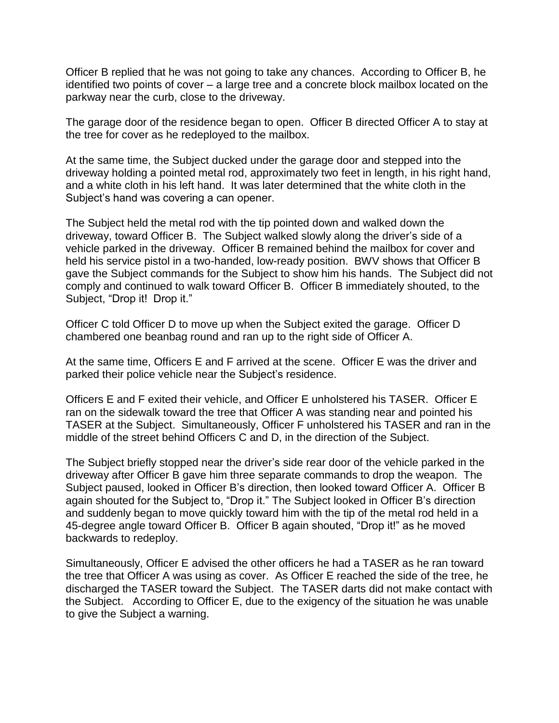Officer B replied that he was not going to take any chances. According to Officer B, he identified two points of cover – a large tree and a concrete block mailbox located on the parkway near the curb, close to the driveway.

The garage door of the residence began to open. Officer B directed Officer A to stay at the tree for cover as he redeployed to the mailbox.

At the same time, the Subject ducked under the garage door and stepped into the driveway holding a pointed metal rod, approximately two feet in length, in his right hand, and a white cloth in his left hand. It was later determined that the white cloth in the Subject's hand was covering a can opener.

The Subject held the metal rod with the tip pointed down and walked down the driveway, toward Officer B. The Subject walked slowly along the driver's side of a vehicle parked in the driveway. Officer B remained behind the mailbox for cover and held his service pistol in a two-handed, low-ready position. BWV shows that Officer B gave the Subject commands for the Subject to show him his hands. The Subject did not comply and continued to walk toward Officer B. Officer B immediately shouted, to the Subject, "Drop it! Drop it."

Officer C told Officer D to move up when the Subject exited the garage. Officer D chambered one beanbag round and ran up to the right side of Officer A.

At the same time, Officers E and F arrived at the scene. Officer E was the driver and parked their police vehicle near the Subject's residence.

Officers E and F exited their vehicle, and Officer E unholstered his TASER. Officer E ran on the sidewalk toward the tree that Officer A was standing near and pointed his TASER at the Subject. Simultaneously, Officer F unholstered his TASER and ran in the middle of the street behind Officers C and D, in the direction of the Subject.

The Subject briefly stopped near the driver's side rear door of the vehicle parked in the driveway after Officer B gave him three separate commands to drop the weapon. The Subject paused, looked in Officer B's direction, then looked toward Officer A. Officer B again shouted for the Subject to, "Drop it." The Subject looked in Officer B's direction and suddenly began to move quickly toward him with the tip of the metal rod held in a 45-degree angle toward Officer B. Officer B again shouted, "Drop it!" as he moved backwards to redeploy.

Simultaneously, Officer E advised the other officers he had a TASER as he ran toward the tree that Officer A was using as cover. As Officer E reached the side of the tree, he discharged the TASER toward the Subject. The TASER darts did not make contact with the Subject. According to Officer E, due to the exigency of the situation he was unable to give the Subject a warning.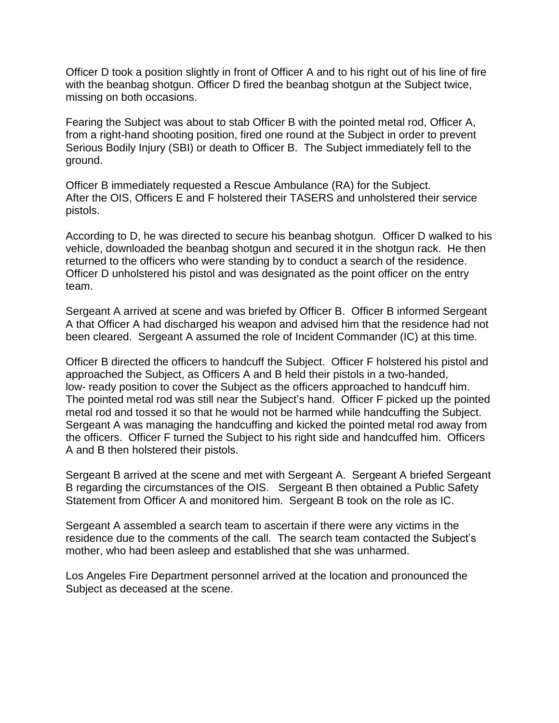Officer D took a position slightly in front of Officer A and to his right out of his line of fire with the beanbag shotgun. Officer D fired the beanbag shotgun at the Subject twice, missing on both occasions.

Fearing the Subject was about to stab Officer B with the pointed metal rod, Officer A, from a right-hand shooting position, fired one round at the Subject in order to prevent Serious Bodily Injury (SBI) or death to Officer B. The Subject immediately fell to the ground.

Officer B immediately requested a Rescue Ambulance (RA) for the Subject. After the OIS, Officers E and F holstered their TASERS and unholstered their service pistols.

According to D, he was directed to secure his beanbag shotgun. Officer D walked to his vehicle, downloaded the beanbag shotgun and secured it in the shotgun rack. He then returned to the officers who were standing by to conduct a search of the residence. Officer D unholstered his pistol and was designated as the point officer on the entry team.

Sergeant A arrived at scene and was briefed by Officer B. Officer B informed Sergeant A that Officer A had discharged his weapon and advised him that the residence had not been cleared. Sergeant A assumed the role of Incident Commander (IC) at this time.

Officer B directed the officers to handcuff the Subject. Officer F holstered his pistol and approached the Subject, as Officers A and B held their pistols in a two-handed, low- ready position to cover the Subject as the officers approached to handcuff him. The pointed metal rod was still near the Subject's hand. Officer F picked up the pointed metal rod and tossed it so that he would not be harmed while handcuffing the Subject. Sergeant A was managing the handcuffing and kicked the pointed metal rod away from the officers. Officer F turned the Subject to his right side and handcuffed him. Officers A and B then holstered their pistols.

Sergeant B arrived at the scene and met with Sergeant A. Sergeant A briefed Sergeant B regarding the circumstances of the OIS. Sergeant B then obtained a Public Safety Statement from Officer A and monitored him. Sergeant B took on the role as IC.

Sergeant A assembled a search team to ascertain if there were any victims in the residence due to the comments of the call. The search team contacted the Subject's mother, who had been asleep and established that she was unharmed.

Los Angeles Fire Department personnel arrived at the location and pronounced the Subject as deceased at the scene.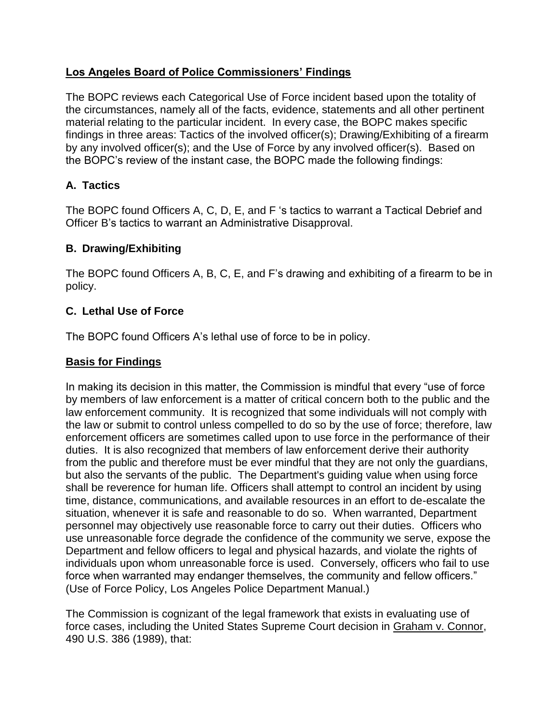# **Los Angeles Board of Police Commissioners' Findings**

The BOPC reviews each Categorical Use of Force incident based upon the totality of the circumstances, namely all of the facts, evidence, statements and all other pertinent material relating to the particular incident. In every case, the BOPC makes specific findings in three areas: Tactics of the involved officer(s); Drawing/Exhibiting of a firearm by any involved officer(s); and the Use of Force by any involved officer(s). Based on the BOPC's review of the instant case, the BOPC made the following findings:

# **A. Tactics**

The BOPC found Officers A, C, D, E, and F 's tactics to warrant a Tactical Debrief and Officer B's tactics to warrant an Administrative Disapproval.

# **B. Drawing/Exhibiting**

The BOPC found Officers A, B, C, E, and F's drawing and exhibiting of a firearm to be in policy.

# **C. Lethal Use of Force**

The BOPC found Officers A's lethal use of force to be in policy.

## **Basis for Findings**

In making its decision in this matter, the Commission is mindful that every "use of force by members of law enforcement is a matter of critical concern both to the public and the law enforcement community. It is recognized that some individuals will not comply with the law or submit to control unless compelled to do so by the use of force; therefore, law enforcement officers are sometimes called upon to use force in the performance of their duties. It is also recognized that members of law enforcement derive their authority from the public and therefore must be ever mindful that they are not only the guardians, but also the servants of the public. The Department's guiding value when using force shall be reverence for human life. Officers shall attempt to control an incident by using time, distance, communications, and available resources in an effort to de-escalate the situation, whenever it is safe and reasonable to do so. When warranted, Department personnel may objectively use reasonable force to carry out their duties. Officers who use unreasonable force degrade the confidence of the community we serve, expose the Department and fellow officers to legal and physical hazards, and violate the rights of individuals upon whom unreasonable force is used. Conversely, officers who fail to use force when warranted may endanger themselves, the community and fellow officers." (Use of Force Policy, Los Angeles Police Department Manual.)

The Commission is cognizant of the legal framework that exists in evaluating use of force cases, including the United States Supreme Court decision in Graham v. Connor, 490 U.S. 386 (1989), that: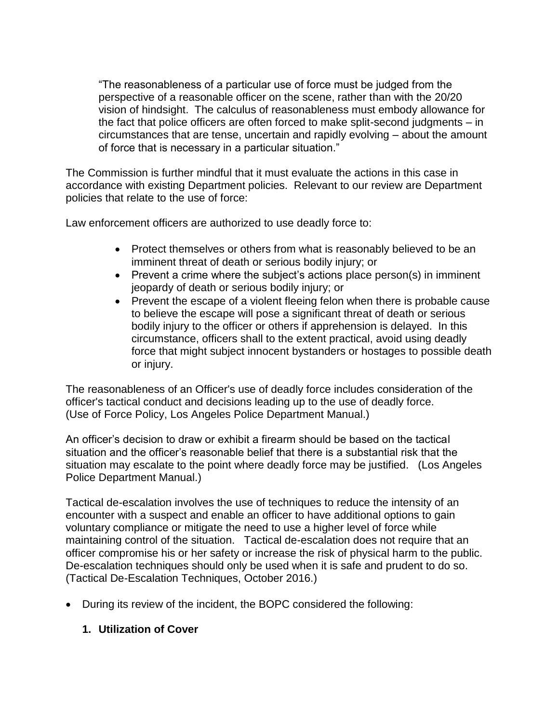"The reasonableness of a particular use of force must be judged from the perspective of a reasonable officer on the scene, rather than with the 20/20 vision of hindsight. The calculus of reasonableness must embody allowance for the fact that police officers are often forced to make split-second judgments – in circumstances that are tense, uncertain and rapidly evolving – about the amount of force that is necessary in a particular situation."

The Commission is further mindful that it must evaluate the actions in this case in accordance with existing Department policies. Relevant to our review are Department policies that relate to the use of force:

Law enforcement officers are authorized to use deadly force to:

- Protect themselves or others from what is reasonably believed to be an imminent threat of death or serious bodily injury; or
- Prevent a crime where the subject's actions place person(s) in imminent jeopardy of death or serious bodily injury; or
- Prevent the escape of a violent fleeing felon when there is probable cause to believe the escape will pose a significant threat of death or serious bodily injury to the officer or others if apprehension is delayed. In this circumstance, officers shall to the extent practical, avoid using deadly force that might subject innocent bystanders or hostages to possible death or injury.

The reasonableness of an Officer's use of deadly force includes consideration of the officer's tactical conduct and decisions leading up to the use of deadly force. (Use of Force Policy, Los Angeles Police Department Manual.)

An officer's decision to draw or exhibit a firearm should be based on the tactical situation and the officer's reasonable belief that there is a substantial risk that the situation may escalate to the point where deadly force may be justified. (Los Angeles Police Department Manual.)

Tactical de-escalation involves the use of techniques to reduce the intensity of an encounter with a suspect and enable an officer to have additional options to gain voluntary compliance or mitigate the need to use a higher level of force while maintaining control of the situation. Tactical de-escalation does not require that an officer compromise his or her safety or increase the risk of physical harm to the public. De-escalation techniques should only be used when it is safe and prudent to do so. (Tactical De-Escalation Techniques, October 2016.)

- During its review of the incident, the BOPC considered the following:
	- **1. Utilization of Cover**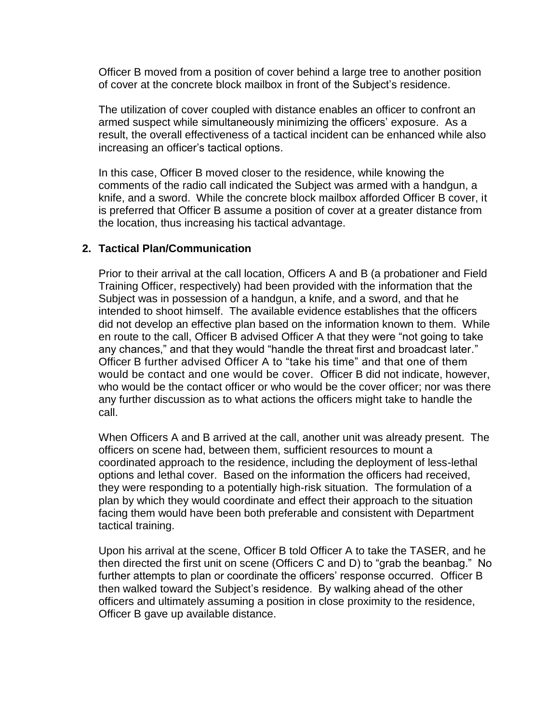Officer B moved from a position of cover behind a large tree to another position of cover at the concrete block mailbox in front of the Subject's residence.

The utilization of cover coupled with distance enables an officer to confront an armed suspect while simultaneously minimizing the officers' exposure. As a result, the overall effectiveness of a tactical incident can be enhanced while also increasing an officer's tactical options.

In this case, Officer B moved closer to the residence, while knowing the comments of the radio call indicated the Subject was armed with a handgun, a knife, and a sword. While the concrete block mailbox afforded Officer B cover, it is preferred that Officer B assume a position of cover at a greater distance from the location, thus increasing his tactical advantage.

#### **2. Tactical Plan/Communication**

Prior to their arrival at the call location, Officers A and B (a probationer and Field Training Officer, respectively) had been provided with the information that the Subject was in possession of a handgun, a knife, and a sword, and that he intended to shoot himself. The available evidence establishes that the officers did not develop an effective plan based on the information known to them. While en route to the call, Officer B advised Officer A that they were "not going to take any chances," and that they would "handle the threat first and broadcast later." Officer B further advised Officer A to "take his time" and that one of them would be contact and one would be cover. Officer B did not indicate, however, who would be the contact officer or who would be the cover officer; nor was there any further discussion as to what actions the officers might take to handle the call.

When Officers A and B arrived at the call, another unit was already present. The officers on scene had, between them, sufficient resources to mount a coordinated approach to the residence, including the deployment of less-lethal options and lethal cover. Based on the information the officers had received, they were responding to a potentially high-risk situation. The formulation of a plan by which they would coordinate and effect their approach to the situation facing them would have been both preferable and consistent with Department tactical training.

Upon his arrival at the scene, Officer B told Officer A to take the TASER, and he then directed the first unit on scene (Officers C and D) to "grab the beanbag." No further attempts to plan or coordinate the officers' response occurred. Officer B then walked toward the Subject's residence. By walking ahead of the other officers and ultimately assuming a position in close proximity to the residence, Officer B gave up available distance.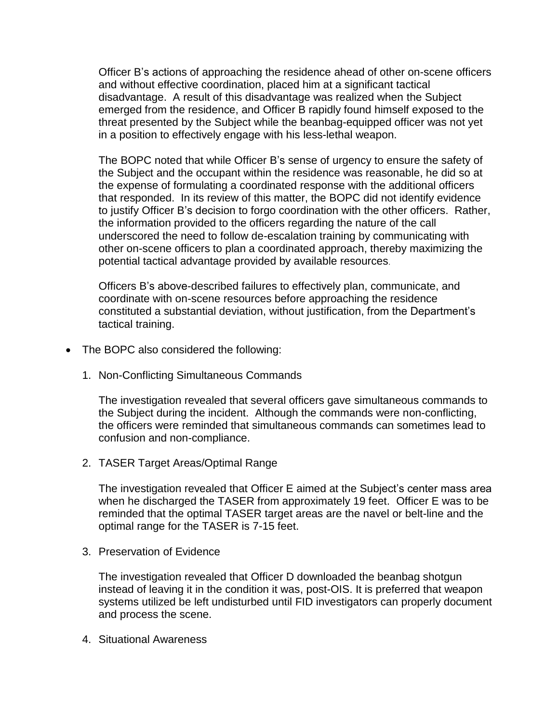Officer B's actions of approaching the residence ahead of other on-scene officers and without effective coordination, placed him at a significant tactical disadvantage. A result of this disadvantage was realized when the Subject emerged from the residence, and Officer B rapidly found himself exposed to the threat presented by the Subject while the beanbag-equipped officer was not yet in a position to effectively engage with his less-lethal weapon.

The BOPC noted that while Officer B's sense of urgency to ensure the safety of the Subject and the occupant within the residence was reasonable, he did so at the expense of formulating a coordinated response with the additional officers that responded. In its review of this matter, the BOPC did not identify evidence to justify Officer B's decision to forgo coordination with the other officers. Rather, the information provided to the officers regarding the nature of the call underscored the need to follow de-escalation training by communicating with other on-scene officers to plan a coordinated approach, thereby maximizing the potential tactical advantage provided by available resources.

Officers B's above-described failures to effectively plan, communicate, and coordinate with on-scene resources before approaching the residence constituted a substantial deviation, without justification, from the Department's tactical training.

- The BOPC also considered the following:
	- 1. Non-Conflicting Simultaneous Commands

The investigation revealed that several officers gave simultaneous commands to the Subject during the incident. Although the commands were non-conflicting, the officers were reminded that simultaneous commands can sometimes lead to confusion and non-compliance.

2. TASER Target Areas/Optimal Range

The investigation revealed that Officer E aimed at the Subject's center mass area when he discharged the TASER from approximately 19 feet. Officer E was to be reminded that the optimal TASER target areas are the navel or belt-line and the optimal range for the TASER is 7-15 feet.

3. Preservation of Evidence

The investigation revealed that Officer D downloaded the beanbag shotgun instead of leaving it in the condition it was, post-OIS. It is preferred that weapon systems utilized be left undisturbed until FID investigators can properly document and process the scene.

4. Situational Awareness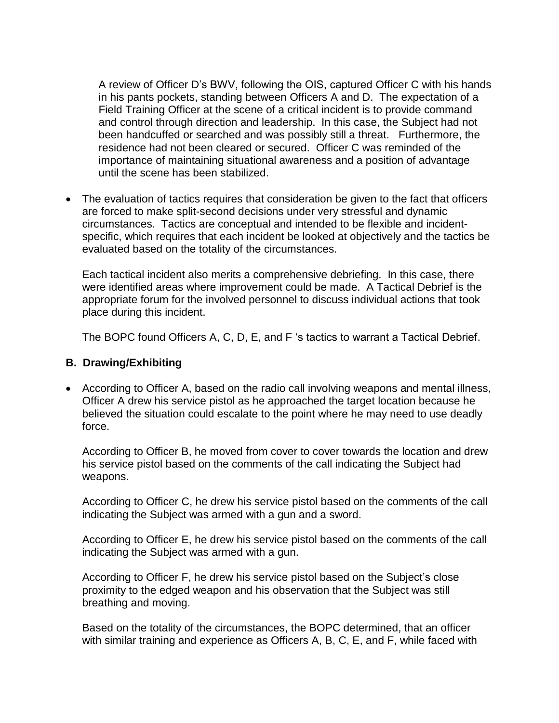A review of Officer D's BWV, following the OIS, captured Officer C with his hands in his pants pockets, standing between Officers A and D. The expectation of a Field Training Officer at the scene of a critical incident is to provide command and control through direction and leadership. In this case, the Subject had not been handcuffed or searched and was possibly still a threat. Furthermore, the residence had not been cleared or secured. Officer C was reminded of the importance of maintaining situational awareness and a position of advantage until the scene has been stabilized.

• The evaluation of tactics requires that consideration be given to the fact that officers are forced to make split-second decisions under very stressful and dynamic circumstances. Tactics are conceptual and intended to be flexible and incidentspecific, which requires that each incident be looked at objectively and the tactics be evaluated based on the totality of the circumstances.

Each tactical incident also merits a comprehensive debriefing. In this case, there were identified areas where improvement could be made. A Tactical Debrief is the appropriate forum for the involved personnel to discuss individual actions that took place during this incident.

The BOPC found Officers A, C, D, E, and F 's tactics to warrant a Tactical Debrief.

#### **B. Drawing/Exhibiting**

• According to Officer A, based on the radio call involving weapons and mental illness, Officer A drew his service pistol as he approached the target location because he believed the situation could escalate to the point where he may need to use deadly force.

According to Officer B, he moved from cover to cover towards the location and drew his service pistol based on the comments of the call indicating the Subject had weapons.

According to Officer C, he drew his service pistol based on the comments of the call indicating the Subject was armed with a gun and a sword.

According to Officer E, he drew his service pistol based on the comments of the call indicating the Subject was armed with a gun.

According to Officer F, he drew his service pistol based on the Subject's close proximity to the edged weapon and his observation that the Subject was still breathing and moving.

Based on the totality of the circumstances, the BOPC determined, that an officer with similar training and experience as Officers A, B, C, E, and F, while faced with